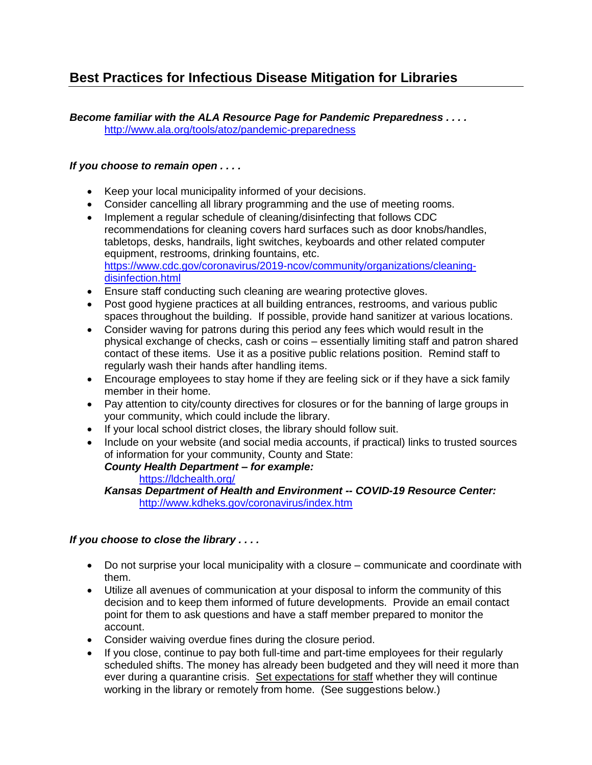# **Best Practices for Infectious Disease Mitigation for Libraries**

*Become familiar with the ALA Resource Page for Pandemic Preparedness . . . .* <http://www.ala.org/tools/atoz/pandemic-preparedness>

### *If you choose to remain open . . . .*

- Keep your local municipality informed of your decisions.
- Consider cancelling all library programming and the use of meeting rooms.
- Implement a regular schedule of cleaning/disinfecting that follows CDC recommendations for cleaning covers hard surfaces such as door knobs/handles, tabletops, desks, handrails, light switches, keyboards and other related computer equipment, restrooms, drinking fountains, etc. [https://www.cdc.gov/coronavirus/2019-ncov/community/organizations/cleaning](https://www.cdc.gov/coronavirus/2019-ncov/community/organizations/cleaning-disinfection.html)[disinfection.html](https://www.cdc.gov/coronavirus/2019-ncov/community/organizations/cleaning-disinfection.html)
- Ensure staff conducting such cleaning are wearing protective gloves.
- Post good hygiene practices at all building entrances, restrooms, and various public spaces throughout the building. If possible, provide hand sanitizer at various locations.
- Consider waving for patrons during this period any fees which would result in the physical exchange of checks, cash or coins – essentially limiting staff and patron shared contact of these items. Use it as a positive public relations position. Remind staff to regularly wash their hands after handling items.
- Encourage employees to stay home if they are feeling sick or if they have a sick family member in their home.
- Pay attention to city/county directives for closures or for the banning of large groups in your community, which could include the library.
- If your local school district closes, the library should follow suit.
- Include on your website (and social media accounts, if practical) links to trusted sources of information for your community, County and State: *County Health Department – for example:*

### <https://ldchealth.org/>

*Kansas Department of Health and Environment -- COVID-19 Resource Center:* <http://www.kdheks.gov/coronavirus/index.htm>

### *If you choose to close the library . . . .*

- Do not surprise your local municipality with a closure communicate and coordinate with them.
- Utilize all avenues of communication at your disposal to inform the community of this decision and to keep them informed of future developments. Provide an email contact point for them to ask questions and have a staff member prepared to monitor the account.
- Consider waiving overdue fines during the closure period.
- If you close, continue to pay both full-time and part-time employees for their regularly scheduled shifts. The money has already been budgeted and they will need it more than ever during a quarantine crisis. Set expectations for staff whether they will continue working in the library or remotely from home. (See suggestions below.)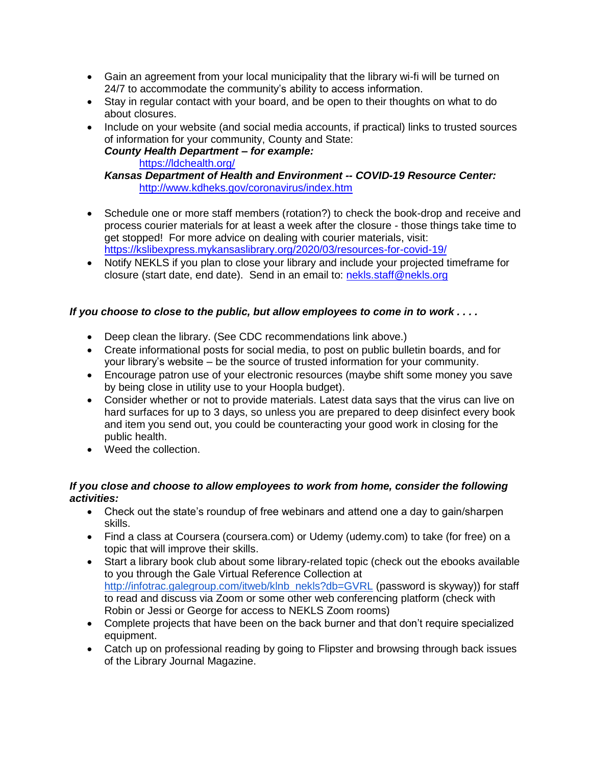- Gain an agreement from your local municipality that the library wi-fi will be turned on 24/7 to accommodate the community's ability to access information.
- Stay in regular contact with your board, and be open to their thoughts on what to do about closures.
- Include on your website (and social media accounts, if practical) links to trusted sources of information for your community, County and State:

#### *County Health Department – for example:* <https://ldchealth.org/>

# *Kansas Department of Health and Environment -- COVID-19 Resource Center:* <http://www.kdheks.gov/coronavirus/index.htm>

- Schedule one or more staff members (rotation?) to check the book-drop and receive and process courier materials for at least a week after the closure - those things take time to get stopped! For more advice on dealing with courier materials, visit: <https://kslibexpress.mykansaslibrary.org/2020/03/resources-for-covid-19/>
- Notify NEKLS if you plan to close your library and include your projected timeframe for closure (start date, end date). Send in an email to: [nekls.staff@nekls.org](mailto:nekls.staff@nekls.org)

## *If you choose to close to the public, but allow employees to come in to work . . . .*

- Deep clean the library. (See CDC recommendations link above.)
- Create informational posts for social media, to post on public bulletin boards, and for your library's website – be the source of trusted information for your community.
- Encourage patron use of your electronic resources (maybe shift some money you save by being close in utility use to your Hoopla budget).
- Consider whether or not to provide materials. Latest data says that the virus can live on hard surfaces for up to 3 days, so unless you are prepared to deep disinfect every book and item you send out, you could be counteracting your good work in closing for the public health.
- Weed the collection.

### *If you close and choose to allow employees to work from home, consider the following activities:*

- Check out the state's roundup of free webinars and attend one a day to gain/sharpen skills.
- Find a class at Coursera (coursera.com) or Udemy (udemy.com) to take (for free) on a topic that will improve their skills.
- Start a library book club about some library-related topic (check out the ebooks available to you through the Gale Virtual Reference Collection a[t](http://infotrac.galegroup.com/itweb/klnb_nekls?db=GVRL) [http://infotrac.galegroup.com/itweb/klnb\\_nekls?db=GVRL](http://infotrac.galegroup.com/itweb/klnb_nekls?db=GVRL) (password is skyway)) for staff to read and discuss via Zoom or some other web conferencing platform (check with Robin or Jessi or George for access to NEKLS Zoom rooms)
- Complete projects that have been on the back burner and that don't require specialized equipment.
- Catch up on professional reading by going to Flipster and browsing through back issues of the Library Journal Magazine.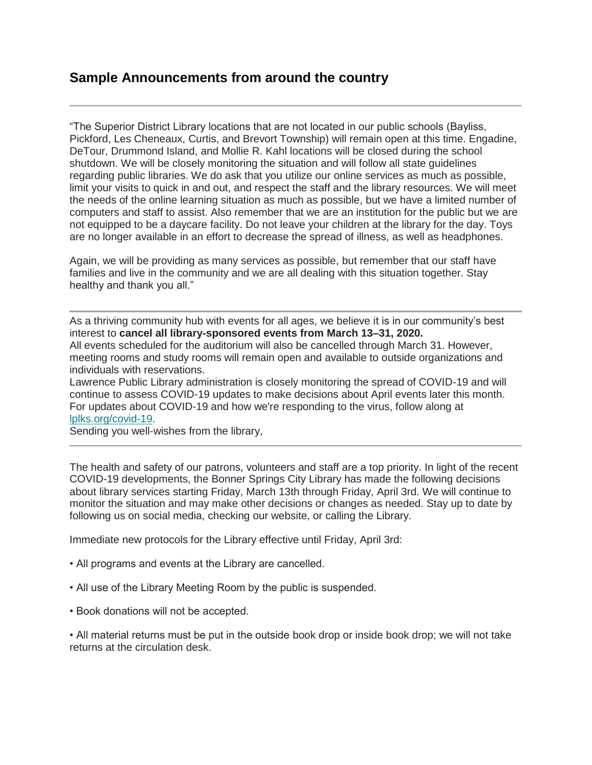# **Sample Announcements from around the country**

"The Superior District Library locations that are not located in our public schools (Bayliss, Pickford, Les Cheneaux, Curtis, and Brevort Township) will remain open at this time. Engadine, DeTour, Drummond Island, and Mollie R. Kahl locations will be closed during the school shutdown. We will be closely monitoring the situation and will follow all state guidelines regarding public libraries. We do ask that you utilize our online services as much as possible, limit your visits to quick in and out, and respect the staff and the library resources. We will meet the needs of the online learning situation as much as possible, but we have a limited number of computers and staff to assist. Also remember that we are an institution for the public but we are not equipped to be a daycare facility. Do not leave your children at the library for the day. Toys are no longer available in an effort to decrease the spread of illness, as well as headphones.

Again, we will be providing as many services as possible, but remember that our staff have families and live in the community and we are all dealing with this situation together. Stay healthy and thank you all."

As a thriving community hub with events for all ages, we believe it is in our community's best interest to **cancel all library-sponsored events from March 13–31, 2020.**

All events scheduled for the auditorium will also be cancelled through March 31. However, meeting rooms and study rooms will remain open and available to outside organizations and individuals with reservations.

Lawrence Public Library administration is closely monitoring the spread of COVID-19 and will continue to assess COVID-19 updates to make decisions about April events later this month. For updates about COVID-19 and how we're responding to the virus, follow along at [lplks.org/covid-19.](https://lplks.us8.list-manage.com/track/click?u=c0ee14e1f9f82c94148731feb&id=93377c07a7&e=b11e1cbca2)

Sending you well-wishes from the library,

The health and safety of our patrons, volunteers and staff are a top priority. In light of the recent COVID-19 developments, the Bonner Springs City Library has made the following decisions about library services starting Friday, March 13th through Friday, April 3rd. We will continue to monitor the situation and may make other decisions or changes as needed. Stay up to date by following us on social media, checking our website, or calling the Library.

Immediate new protocols for the Library effective until Friday, April 3rd:

- All programs and events at the Library are cancelled.
- All use of the Library Meeting Room by the public is suspended.
- Book donations will not be accepted.

• All material returns must be put in the outside book drop or inside book drop; we will not take returns at the circulation desk.